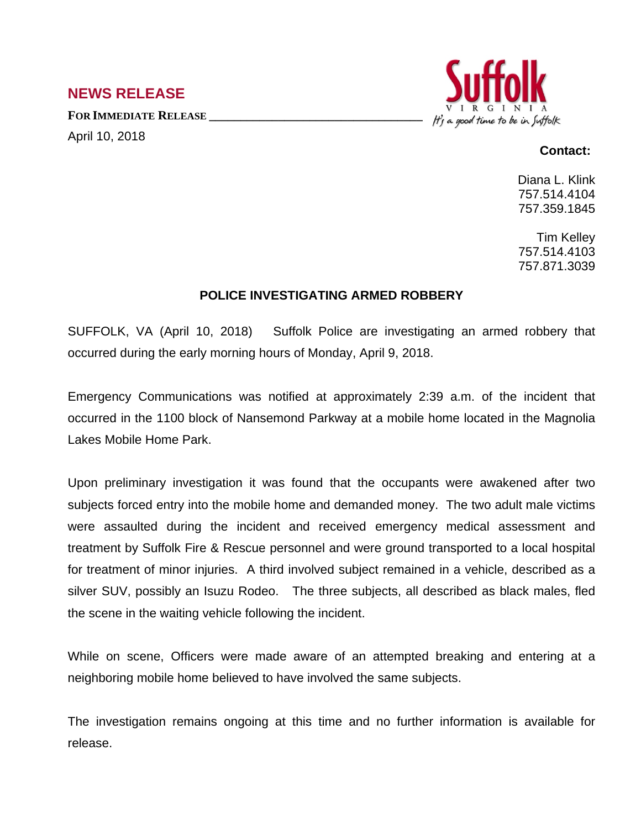## **NEWS RELEASE**

**FOR IMMEDIATE RELEASE \_\_\_\_\_\_\_\_\_\_\_\_\_\_\_\_\_\_\_\_\_\_\_\_\_\_\_\_\_\_\_\_\_\_** April 10, 2018



## **Contact:**

Diana L. Klink 757.514.4104 757.359.1845

Tim Kelley 757.514.4103 757.871.3039

## **POLICE INVESTIGATING ARMED ROBBERY**

SUFFOLK, VA (April 10, 2018) Suffolk Police are investigating an armed robbery that occurred during the early morning hours of Monday, April 9, 2018.

Emergency Communications was notified at approximately 2:39 a.m. of the incident that occurred in the 1100 block of Nansemond Parkway at a mobile home located in the Magnolia Lakes Mobile Home Park.

Upon preliminary investigation it was found that the occupants were awakened after two subjects forced entry into the mobile home and demanded money. The two adult male victims were assaulted during the incident and received emergency medical assessment and treatment by Suffolk Fire & Rescue personnel and were ground transported to a local hospital for treatment of minor injuries. A third involved subject remained in a vehicle, described as a silver SUV, possibly an Isuzu Rodeo. The three subjects, all described as black males, fled the scene in the waiting vehicle following the incident.

While on scene, Officers were made aware of an attempted breaking and entering at a neighboring mobile home believed to have involved the same subjects.

The investigation remains ongoing at this time and no further information is available for release.